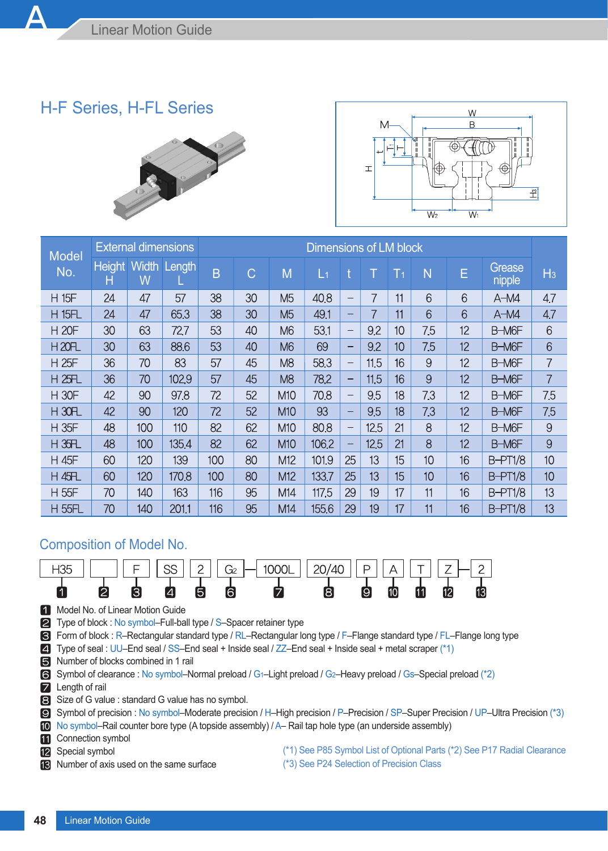## H-F Series, H-FL Series





| <b>Model</b>                     |                    | <b>External dimensions</b> |                     | Dimensions of LM block |    |                 |       |                          |      |                |     |    |                  |                |
|----------------------------------|--------------------|----------------------------|---------------------|------------------------|----|-----------------|-------|--------------------------|------|----------------|-----|----|------------------|----------------|
| No.                              | <b>Height</b><br>н | W                          | <b>Width Length</b> | B                      | C  | M               | L1    | ŧ                        |      | T <sub>1</sub> | N   | E  | Grease<br>nipple | H <sub>3</sub> |
| <b>H 15F</b>                     | 24                 | 47                         | 57                  | 38                     | 30 | M <sub>5</sub>  | 40.8  | $\overline{\phantom{0}}$ | 7    | 11             | 6   | 6  | $A-M4$           | 4.7            |
| <b>H 15FL</b>                    | 24                 | 47                         | 65.3                | 38                     | 30 | M <sub>5</sub>  | 49.1  | -                        |      | 11             | 6   | 6  | $A-M4$           | 4,7            |
| <b>H 20F</b>                     | 30                 | 63                         | 72.7                | 53                     | 40 | M <sub>6</sub>  | 53.1  | -                        | 9.2  | 10             | 7.5 | 12 | B-M6F            | 6              |
| <b>H20FL</b>                     | 30                 | 63                         | 88.6                | 53                     | 40 | M <sub>6</sub>  | 69    | -                        | 9.2  | 10             | 7.5 | 12 | B-M6F            | 6              |
| <b>H25F</b>                      | 36                 | 70                         | 83                  | 57                     | 45 | M <sub>8</sub>  | 58.3  | -                        | 11.5 | 16             | 9   | 12 | B-M6F            | 7              |
| <b>H 25FL</b>                    | 36                 | 70                         | 102.9               | 57                     | 45 | M <sub>8</sub>  | 78.2  | -                        | 11.5 | 16             | 9   | 12 | B-M6F            | 7              |
| <b>H30F</b>                      | 42                 | 90                         | 97.8                | 72                     | 52 | <b>M10</b>      | 70.8  | -                        | 9.5  | 18             | 7.3 | 12 | B-M6F            | 7.5            |
| $H$ 30 <sub><math>F</math></sub> | 42                 | 90                         | 120                 | 72                     | 52 | M10             | 93    | -                        | 9.5  | 18             | 7.3 | 12 | B-M6F            | 7.5            |
| <b>H35F</b>                      | 48                 | 100                        | 110                 | 82                     | 62 | M10             | 80.8  | -                        | 12.5 | 21             | 8   | 12 | B-M6F            | 9              |
| H 35FL                           | 48                 | 100                        | 135.4               | 82                     | 62 | M <sub>10</sub> | 106.2 | -                        | 12.5 | 21             | 8   | 12 | B-M6F            | 9              |
| H 45F                            | 60                 | 120                        | 139                 | 100                    | 80 | M12             | 101.9 | 25                       | 13   | 15             | 10  | 16 | <b>B-PT1/8</b>   | 10             |
| <b>H 45FL</b>                    | 60                 | 120                        | 170.8               | 100                    | 80 | M12             | 133.7 | 25                       | 13   | 15             | 10  | 16 | <b>B-PT1/8</b>   | 10             |
| H 55F                            | 70                 | 140                        | 163                 | 116                    | 95 | M14             | 117.5 | 29                       | 19   | 17             | 11  | 16 | <b>B-PT1/8</b>   | 13             |
| <b>H 55FL</b>                    | 70                 | 140                        | 2011                | 116                    | 95 | M14             | 155.6 | 29                       | 19   | 17             | 11  | 16 | <b>B-PT1/8</b>   | 13             |

## Composition of Model No.



1 Model No. of Linear Motion Guide

■ Type of block : No symbol–Full-ball type / S–Spacer retainer type

Form of block : R–Rectangular standard type / RL–Rectangular long type / F–Flange standard type / FL–Flange long type

Type of seal : UU–End seal / SS–End seal + Inside seal / ZZ–End seal + Inside seal + metal scraper (\*1)

Number of blocks combined in 1 rail

Symbol of clearance : No symbol–Normal preload / G1–Light preload / G2–Heavy preload / Gs–Special preload (\*2)

**Z** Length of rail

Size of G value : standard G value has no symbol.

Symbol of precision : No symbol–Moderate precision / H–High precision / P–Precision / SP–Super Precision / UP–Ultra Precision (\*3)

No symbol–Rail counter bore type (A topside assembly) / A– Rail tap hole type (an underside assembly)

**Connection symbol** 

**12** Special symbol

**R** Number of axis used on the same surface

(\*1) See P85 Symbol List of Optional Parts (\*2) See P17 Radial Clearance

(\*3) See P24 Selection of Precision Class